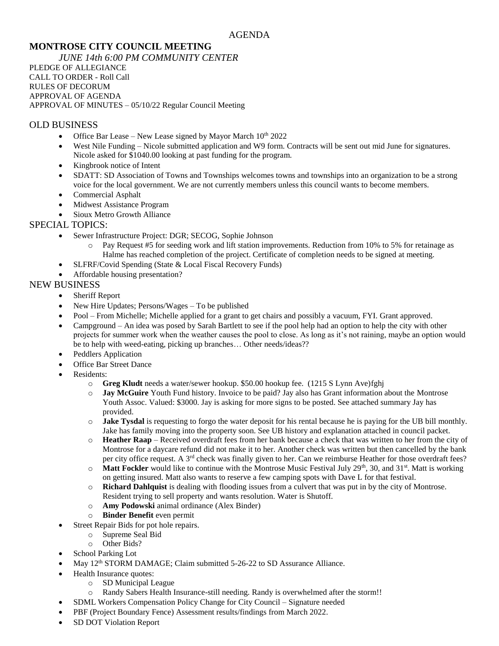# **MONTROSE CITY COUNCIL MEETING**

*JUNE 14th 6:00 PM COMMUNITY CENTER* PLEDGE OF ALLEGIANCE CALL TO ORDER - Roll Call RULES OF DECORUM APPROVAL OF AGENDA APPROVAL OF MINUTES – 05/10/22 Regular Council Meeting

### OLD BUSINESS

- Office Bar Lease New Lease signed by Mayor March  $10^{th}$  2022
- West Nile Funding Nicole submitted application and W9 form. Contracts will be sent out mid June for signatures. Nicole asked for \$1040.00 looking at past funding for the program.
- Kingbrook notice of Intent
- SDATT: SD Association of Towns and Townships welcomes towns and townships into an organization to be a strong voice for the local government. We are not currently members unless this council wants to become members.
- Commercial Asphalt
- Midwest Assistance Program
- Sioux Metro Growth Alliance

# SPECIAL TOPICS:

- Sewer Infrastructure Project: DGR; SECOG, Sophie Johnson
	- o Pay Request #5 for seeding work and lift station improvements. Reduction from 10% to 5% for retainage as Halme has reached completion of the project. Certificate of completion needs to be signed at meeting.
- SLFRF/Covid Spending (State & Local Fiscal Recovery Funds)
- Affordable housing presentation?

# NEW BUSINESS

- Sheriff Report
- New Hire Updates; Persons/Wages To be published
- Pool From Michelle; Michelle applied for a grant to get chairs and possibly a vacuum, FYI. Grant approved.
- Campground An idea was posed by Sarah Bartlett to see if the pool help had an option to help the city with other projects for summer work when the weather causes the pool to close. As long as it's not raining, maybe an option would be to help with weed-eating, picking up branches… Other needs/ideas??
- Peddlers Application
- Office Bar Street Dance
- Residents:
	- o **Greg Kludt** needs a water/sewer hookup. \$50.00 hookup fee. (1215 S Lynn Ave)fghj
	- o **Jay McGuire** Youth Fund history. Invoice to be paid? Jay also has Grant information about the Montrose Youth Assoc. Valued: \$3000. Jay is asking for more signs to be posted. See attached summary Jay has provided.
	- o **Jake Tysdal** is requesting to forgo the water deposit for his rental because he is paying for the UB bill monthly. Jake has family moving into the property soon. See UB history and explanation attached in council packet.
	- o **Heather Raap** Received overdraft fees from her bank because a check that was written to her from the city of Montrose for a daycare refund did not make it to her. Another check was written but then cancelled by the bank per city office request. A 3<sup>rd</sup> check was finally given to her. Can we reimburse Heather for those overdraft fees?
	- $\circ$  **Matt Fockler** would like to continue with the Montrose Music Festival July 29<sup>th</sup>, 30, and 31<sup>st</sup>. Matt is working on getting insured. Matt also wants to reserve a few camping spots with Dave L for that festival.
	- o **Richard Dahlquist** is dealing with flooding issues from a culvert that was put in by the city of Montrose. Resident trying to sell property and wants resolution. Water is Shutoff.
	- o **Amy Podowski** animal ordinance (Alex Binder)
	- o **Binder Benefit** even permit
- Street Repair Bids for pot hole repairs.
	- o Supreme Seal Bid
	- o Other Bids?
- School Parking Lot
- May 12<sup>th</sup> STORM DAMAGE; Claim submitted 5-26-22 to SD Assurance Alliance.
- Health Insurance quotes:
	- o SD Municipal League
	- o Randy Sabers Health Insurance-still needing. Randy is overwhelmed after the storm!!
	- SDML Workers Compensation Policy Change for City Council Signature needed
- PBF (Project Boundary Fence) Assessment results/findings from March 2022.
- SD DOT Violation Report